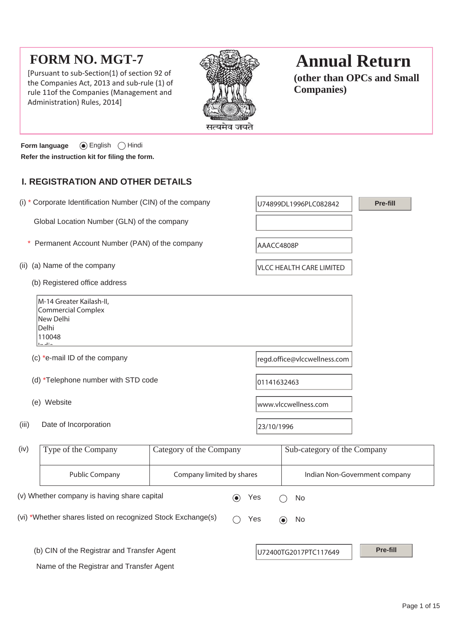# **FORM NO. MGT-7**

[Pursuant to sub-Section(1) of section 92 of the Companies Act, 2013 and sub-rule (1) of rule 11of the Companies (Management and Administration) Rules, 2014]



# **Annual Return**

**(other than OPCs and Small Companies)**

**Form language** English Hindi **Refer the instruction kit for filing the form.**

# **I. REGISTRATION AND OTHER DETAILS**

|       | (i) * Corporate Identification Number (CIN) of the company                              |                         |                              | U74899DL1996PLC082842           | Pre-fill |
|-------|-----------------------------------------------------------------------------------------|-------------------------|------------------------------|---------------------------------|----------|
|       | Global Location Number (GLN) of the company                                             |                         |                              |                                 |          |
|       | Permanent Account Number (PAN) of the company                                           |                         | AAACC4808P                   |                                 |          |
| (ii)  | (a) Name of the company                                                                 |                         |                              | <b>VLCC HEALTH CARE LIMITED</b> |          |
|       | (b) Registered office address                                                           |                         |                              |                                 |          |
|       | M-14 Greater Kailash-II,<br>Commercial Complex<br>New Delhi<br>Delhi<br>110048<br>$-11$ |                         |                              |                                 |          |
|       | (c) *e-mail ID of the company                                                           |                         | regd.office@vlccwellness.com |                                 |          |
|       | (d) *Telephone number with STD code                                                     |                         | 01141632463                  |                                 |          |
|       | (e) Website                                                                             |                         | www.vlccwellness.com         |                                 |          |
| (iii) | Date of Incorporation                                                                   |                         | 23/10/1996                   |                                 |          |
| (iv)  | Type of the Company                                                                     | Category of the Company |                              | Sub-category of the Company     |          |
|       | <b>Public Company</b><br>Company limited by shares                                      |                         |                              | Indian Non-Government company   |          |
|       | (v) Whether company is having share capital                                             | $\bf{(\bullet)}$        | Yes                          | No                              |          |
|       | (vi) *Whether shares listed on recognized Stock Exchange(s)                             |                         | Yes                          | No<br>$(\bullet)$               |          |

Name of the Registrar and Transfer Agent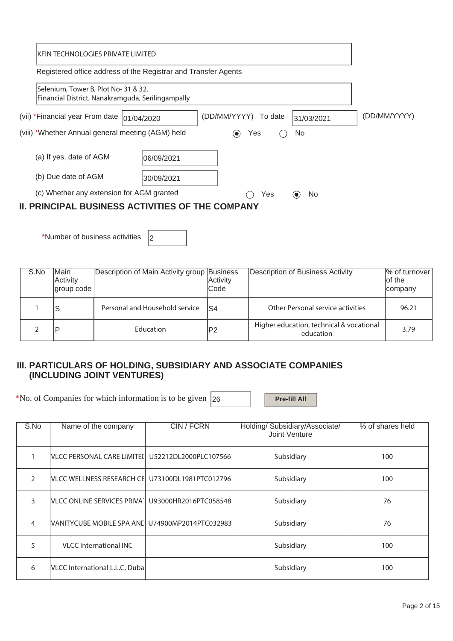|                                                         | IKFIN TECHNOLOGIES PRIVATE LIMITED                                                       |                                 |            |              |  |  |  |  |
|---------------------------------------------------------|------------------------------------------------------------------------------------------|---------------------------------|------------|--------------|--|--|--|--|
|                                                         | Registered office address of the Registrar and Transfer Agents                           |                                 |            |              |  |  |  |  |
|                                                         | Selenium, Tower B, Plot No-31 & 32,<br>Financial District, Nanakramguda, Serilingampally |                                 |            |              |  |  |  |  |
| (vii) *Financial year From date  01/04/2020             |                                                                                          | (DD/MM/YYYY)<br>To date         | 31/03/2021 | (DD/MM/YYYY) |  |  |  |  |
| (viii) *Whether Annual general meeting (AGM) held       |                                                                                          | Yes<br>$\left( \bullet \right)$ | No         |              |  |  |  |  |
| (a) If yes, date of AGM                                 | 06/09/2021                                                                               |                                 |            |              |  |  |  |  |
| (b) Due date of AGM                                     | 30/09/2021                                                                               |                                 |            |              |  |  |  |  |
| (c) Whether any extension for AGM granted               |                                                                                          |                                 |            |              |  |  |  |  |
| <b>II. PRINCIPAL BUSINESS ACTIVITIES OF THE COMPANY</b> |                                                                                          |                                 |            |              |  |  |  |  |

\*Number of business activities  $\vert_2$ 

| S.No | <b>Main</b><br>Activity<br> group code | Description of Main Activity group Business | Activity<br>lCode | Description of Business Activity                      | % of turnover<br>of the<br>company |
|------|----------------------------------------|---------------------------------------------|-------------------|-------------------------------------------------------|------------------------------------|
|      | ıs                                     | Personal and Household service              | IS4               | Other Personal service activities                     | 96.21                              |
|      | סו                                     | Education                                   | $\mathsf{P}2$     | Higher education, technical & vocational<br>education | 3.79                               |

# **III. PARTICULARS OF HOLDING, SUBSIDIARY AND ASSOCIATE COMPANIES (INCLUDING JOINT VENTURES)**

\*No. of Companies for which information is to be given 26 **Pre-fill All** 

| S.No          | Name of the company                              | CIN/FCRN              | Holding/ Subsidiary/Associate/<br>Joint Venture | % of shares held |
|---------------|--------------------------------------------------|-----------------------|-------------------------------------------------|------------------|
|               | VLCC PERSONAL CARE LIMITEI U52212DL2000PLC107566 |                       | Subsidiary                                      | 100              |
| $\mathcal{P}$ | VLCC WELLNESS RESEARCH CE U73100DL1981PTC012796  |                       | Subsidiary                                      | 100              |
| 3             | <b>VLCC ONLINE SERVICES PRIVAT</b>               | U93000HR2016PTC058548 | Subsidiary                                      | 76               |
| 4             | VANITYCUBE MOBILE SPA ANCLU74900MP2014PTC032983  |                       | Subsidiary                                      | 76               |
| 5             | <b>VLCC</b> International INC                    |                       | Subsidiary                                      | 100              |
| 6             | VLCC International L.L.C, Duba                   |                       | Subsidiary                                      | 100              |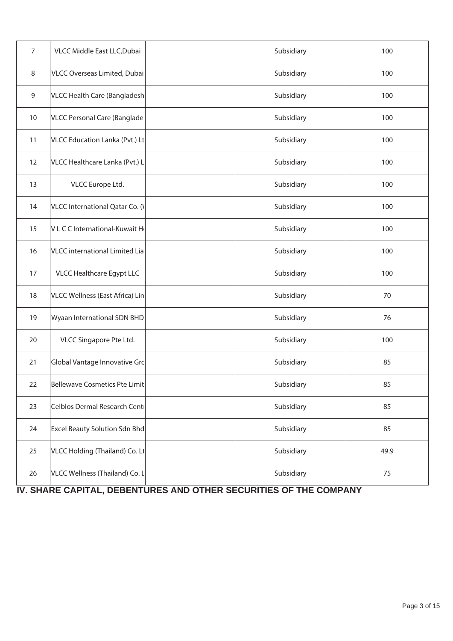| $\overline{7}$ | VLCC Middle East LLC, Dubai           | Subsidiary | 100  |
|----------------|---------------------------------------|------------|------|
| 8              | VLCC Overseas Limited, Dubai          | Subsidiary | 100  |
| 9              | VLCC Health Care (Bangladesh          | Subsidiary | 100  |
| 10             | <b>VLCC Personal Care (Banglade:</b>  | Subsidiary | 100  |
| 11             | VLCC Education Lanka (Pvt.) Lt        | Subsidiary | 100  |
| 12             | VLCC Healthcare Lanka (Pvt.) L        | Subsidiary | 100  |
| 13             | VLCC Europe Ltd.                      | Subsidiary | 100  |
| 14             | VLCC International Qatar Co. (\       | Subsidiary | 100  |
| 15             | VLCC International-Kuwait He          | Subsidiary | 100  |
| 16             | <b>VLCC</b> international Limited Lia | Subsidiary | 100  |
| 17             | VLCC Healthcare Egypt LLC             | Subsidiary | 100  |
| 18             | VLCC Wellness (East Africa) Lin       | Subsidiary | 70   |
| 19             | Wyaan International SDN BHD           | Subsidiary | 76   |
| 20             | VLCC Singapore Pte Ltd.               | Subsidiary | 100  |
| 21             | Global Vantage Innovative Grc         | Subsidiary | 85   |
| 22             | Bellewave Cosmetics Pte Limit         | Subsidiary | 85   |
| 23             | Celblos Dermal Research Centi         | Subsidiary | 85   |
| 24             | Excel Beauty Solution Sdn Bhd         | Subsidiary | 85   |
| 25             | VLCC Holding (Thailand) Co. Lt        | Subsidiary | 49.9 |
| 26             | VLCC Wellness (Thailand) Co. L        | Subsidiary | 75   |

 **IV. SHARE CAPITAL, DEBENTURES AND OTHER SECURITIES OF THE COMPANY**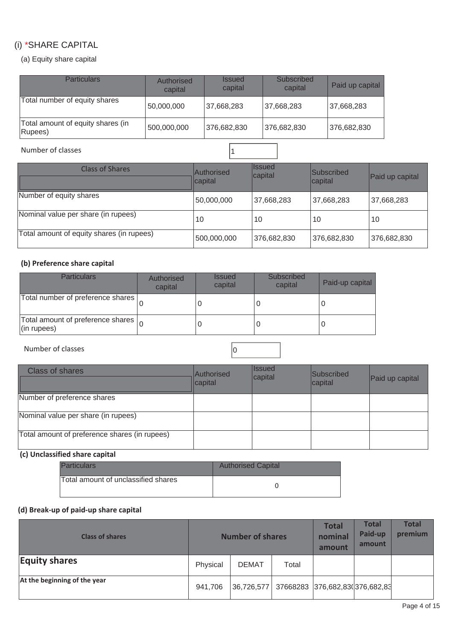# (i) \*SHARE CAPITAL

(a) Equity share capital

| <b>Particulars</b>                           | Authorised<br>capital | <i><b>Issued</b></i><br>capital | Subscribed<br>capital | Paid up capital |
|----------------------------------------------|-----------------------|---------------------------------|-----------------------|-----------------|
| Total number of equity shares                | 50,000,000            | 37,668,283                      | 37,668,283            | 37,668,283      |
| Total amount of equity shares (in<br>Rupees) | 500,000,000           | 376,682,830                     | 376,682,830           | 376,682,830     |

# Number of classes 1

| <b>Class of Shares</b>                    | Authorised<br>capital | <b>Ilssued</b><br>capital | <b>Subscribed</b><br>capital | Paid up capital |
|-------------------------------------------|-----------------------|---------------------------|------------------------------|-----------------|
| Number of equity shares                   | 50,000,000            | 37,668,283                | 37,668,283                   | 37,668,283      |
| Nominal value per share (in rupees)       | 10                    | 10                        | 10                           | 10              |
| Total amount of equity shares (in rupees) | 500,000,000           | 376,682,830               | 376,682,830                  | 376,682,830     |

### **(b) Preference share capital**

| Particulars                                                       | Authorised<br>capital | <b>Issued</b><br>capital | Subscribed<br>capital | Paid-up capital |
|-------------------------------------------------------------------|-----------------------|--------------------------|-----------------------|-----------------|
| Total number of preference shares                                 |                       |                          |                       |                 |
| Total amount of preference shares $\vert_{\Omega}$<br>(in rupees) |                       |                          |                       |                 |

Number of classes  $\vert$  0

| <b>Class of shares</b>                        | Authorised<br>capital | <b>Issued</b><br>capital | Subscribed<br>capital | Paid up capital |
|-----------------------------------------------|-----------------------|--------------------------|-----------------------|-----------------|
| Number of preference shares                   |                       |                          |                       |                 |
| Nominal value per share (in rupees)           |                       |                          |                       |                 |
| Total amount of preference shares (in rupees) |                       |                          |                       |                 |

# **(c) Unclassified share capital**

| <b>Particulars</b>                  | <b>Authorised Capital</b> |
|-------------------------------------|---------------------------|
| Total amount of unclassified shares |                           |

# **(d) Break-up of paid-up share capital**

| <b>Class of shares</b>       | <b>Number of shares</b> |              |       | <b>Total</b><br>nominal<br>amount | <b>Total</b><br>Paid-up<br>amount | <b>Total</b><br>premium |
|------------------------------|-------------------------|--------------|-------|-----------------------------------|-----------------------------------|-------------------------|
| <b>Equity shares</b>         | Physical                | <b>DEMAT</b> | Total |                                   |                                   |                         |
| At the beginning of the year | 941,706                 | 36,726,577   |       | 37668283 376,682,83(376,682,83)   |                                   |                         |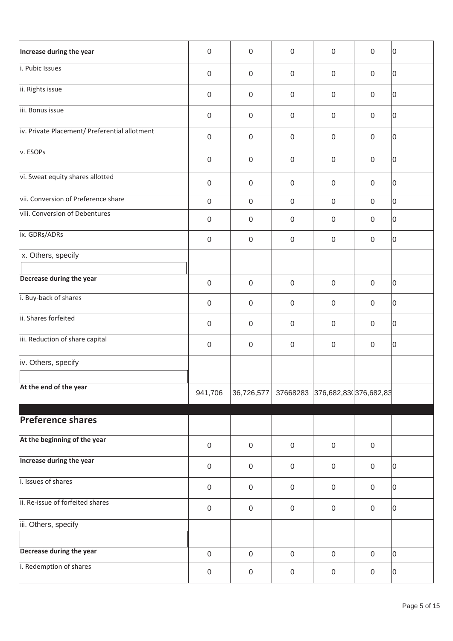| Increase during the year                      | $\mathbf 0$      | $\mathbf 0$         | $\boldsymbol{0}$    | $\overline{0}$                  | 0                   | 10 |
|-----------------------------------------------|------------------|---------------------|---------------------|---------------------------------|---------------------|----|
| i. Pubic Issues                               | $\mathbf 0$      | $\mathbf 0$         | $\boldsymbol{0}$    | $\mathbf 0$                     | $\mathbf 0$         | 0  |
| ii. Rights issue                              | $\boldsymbol{0}$ | $\mathbf 0$         | $\boldsymbol{0}$    | $\boldsymbol{0}$                | $\mathbf 0$         | 10 |
| iii. Bonus issue                              | $\mathbf 0$      | $\mathbf 0$         | $\boldsymbol{0}$    | $\mathbf 0$                     | 0                   | 10 |
| iv. Private Placement/ Preferential allotment | $\mathbf 0$      | $\mathbf 0$         | $\boldsymbol{0}$    | $\mathbf 0$                     | 0                   | 0  |
| v. ESOPs                                      | $\boldsymbol{0}$ | $\mathbf{0}$        | $\boldsymbol{0}$    | $\boldsymbol{0}$                | $\mathbf 0$         | 0  |
| vi. Sweat equity shares allotted              | $\mathbf 0$      | $\mathbf 0$         | $\boldsymbol{0}$    | $\mathbf 0$                     | $\mathbf 0$         | 0  |
| vii. Conversion of Preference share           | $\mathbf 0$      | $\mathbf 0$         | $\mathbf 0$         | $\boldsymbol{0}$                | $\mathbf 0$         | lo |
| viii. Conversion of Debentures                | $\mathbf 0$      | $\mathbf 0$         | $\boldsymbol{0}$    | $\boldsymbol{0}$                | 0                   | 0  |
| ix. GDRs/ADRs                                 | $\boldsymbol{0}$ | $\mathsf{O}\xspace$ | $\boldsymbol{0}$    | $\boldsymbol{0}$                | $\mathsf{O}\xspace$ | 10 |
| x. Others, specify                            |                  |                     |                     |                                 |                     |    |
| Decrease during the year                      | $\mathbf 0$      | $\mathbf 0$         | $\boldsymbol{0}$    | $\boldsymbol{0}$                | $\mathbf 0$         | 0  |
| i. Buy-back of shares                         | $\mathbf 0$      | $\mathbf 0$         | $\boldsymbol{0}$    | $\mathbf 0$                     | 0                   | 10 |
| ii. Shares forfeited                          | $\mathbf 0$      | $\mathbf 0$         | $\boldsymbol{0}$    | $\mathbf 0$                     | $\mathbf 0$         | 0  |
| iii. Reduction of share capital               | $\mathbf 0$      | $\mathbf 0$         | $\boldsymbol{0}$    | $\mathbf 0$                     | $\mathbf 0$         | 0  |
| iv. Others, specify                           |                  |                     |                     |                                 |                     |    |
|                                               |                  |                     |                     |                                 |                     |    |
| At the end of the year                        | 941,706          | 36,726,577          |                     | 37668283 376,682,830 376,682,83 |                     |    |
| <b>Preference shares</b>                      |                  |                     |                     |                                 |                     |    |
| At the beginning of the year                  |                  |                     |                     |                                 |                     |    |
|                                               | $\boldsymbol{0}$ | $\mathbf 0$         | $\mathsf{O}\xspace$ | $\mathsf{O}\xspace$             | $\mathsf{O}\xspace$ |    |
| <b>Increase during the year</b>               | $\mathbf 0$      | $\mathbf 0$         | $\mathsf{O}\xspace$ | $\mathsf{O}\xspace$             | $\mathbf 0$         | 10 |
| i. Issues of shares                           | $\mathbf 0$      | $\mathsf{O}\xspace$ | $\boldsymbol{0}$    | $\boldsymbol{0}$                | $\mathsf{O}\xspace$ | 0  |
| ii. Re-issue of forfeited shares              | $\mathbf 0$      | $\mathsf{O}\xspace$ | $\boldsymbol{0}$    | $\boldsymbol{0}$                | $\mathsf{O}\xspace$ | 10 |
| iii. Others, specify                          |                  |                     |                     |                                 |                     |    |
| Decrease during the year                      | $\mathbf 0$      | $\mathbf 0$         | $\mathbf 0$         | $\boldsymbol{0}$                | $\mathbf 0$         | 10 |
| i. Redemption of shares                       | $\mathbf 0$      | $\mathsf{O}\xspace$ | $\boldsymbol{0}$    | $\boldsymbol{0}$                | $\boldsymbol{0}$    | 0  |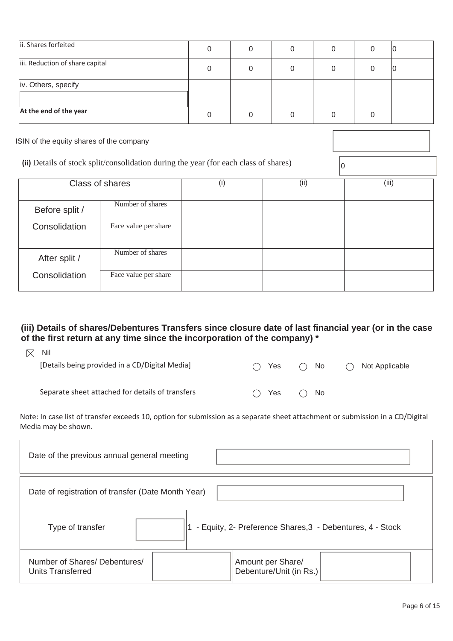| ii. Shares forfeited            |  | 0 | IU |
|---------------------------------|--|---|----|
| iii. Reduction of share capital |  |   | ιU |
| iv. Others, specify             |  |   |    |
| At the end of the year          |  |   |    |
|                                 |  |   |    |

ISIN of the equity shares of the company

(ii) Details of stock split/consolidation during the year (for each class of shares)

|                | <b>Class of shares</b> | (i) | (ii) | (iii) |
|----------------|------------------------|-----|------|-------|
| Before split / | Number of shares       |     |      |       |
| Consolidation  | Face value per share   |     |      |       |
| After split /  | Number of shares       |     |      |       |
| Consolidation  | Face value per share   |     |      |       |

# **(iii) Details of shares/Debentures Transfers since closure date of last financial year (or in the case of the first return at any time since the incorporation of the company) \***

| $\boxtimes$ | Nil                                              |       |     |              |     |                |
|-------------|--------------------------------------------------|-------|-----|--------------|-----|----------------|
|             | [Details being provided in a CD/Digital Media]   | $($ ) | Yes | $\bigcap$ No | ( ) | Not Applicable |
|             |                                                  |       |     |              |     |                |
|             | Separate sheet attached for details of transfers | $($ ) | Yes | $\bigcap$ No |     |                |
|             |                                                  |       |     |              |     |                |

Note: In case list of transfer exceeds 10, option for submission as a separate sheet attachment or submission in a CD/Digital Media may be shown.

| Date of the previous annual general meeting                                   |                                              |  |  |  |  |  |  |
|-------------------------------------------------------------------------------|----------------------------------------------|--|--|--|--|--|--|
| Date of registration of transfer (Date Month Year)                            |                                              |  |  |  |  |  |  |
| - Equity, 2- Preference Shares, 3 - Debentures, 4 - Stock<br>Type of transfer |                                              |  |  |  |  |  |  |
| Number of Shares/Debentures/<br><b>Units Transferred</b>                      | Amount per Share/<br>Debenture/Unit (in Rs.) |  |  |  |  |  |  |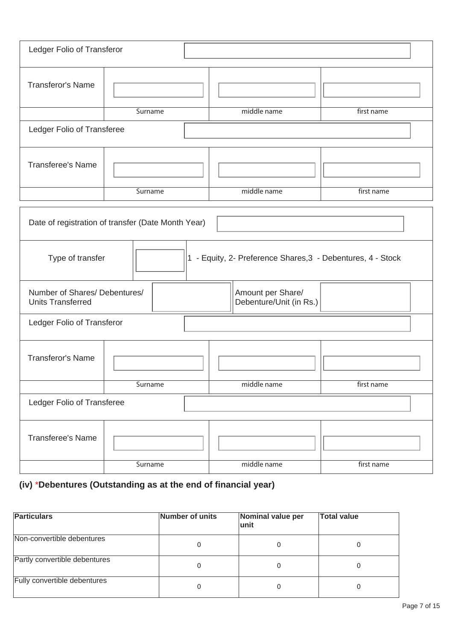| Ledger Folio of Transferor                                                      |         |                                              |            |  |  |  |
|---------------------------------------------------------------------------------|---------|----------------------------------------------|------------|--|--|--|
| <b>Transferor's Name</b>                                                        |         |                                              |            |  |  |  |
|                                                                                 | Surname | middle name                                  | first name |  |  |  |
| Ledger Folio of Transferee                                                      |         |                                              |            |  |  |  |
| <b>Transferee's Name</b>                                                        |         |                                              |            |  |  |  |
|                                                                                 | Surname | middle name                                  | first name |  |  |  |
| Date of registration of transfer (Date Month Year)                              |         |                                              |            |  |  |  |
| Type of transfer<br>1 - Equity, 2- Preference Shares, 3 - Debentures, 4 - Stock |         |                                              |            |  |  |  |
| Number of Shares/ Debentures/<br><b>Units Transferred</b>                       |         | Amount per Share/<br>Debenture/Unit (in Rs.) |            |  |  |  |
| Ledger Folio of Transferor                                                      |         |                                              |            |  |  |  |
| <b>Transferor's Name</b>                                                        |         |                                              |            |  |  |  |
|                                                                                 | Surname | middle name                                  | first name |  |  |  |
| Ledger Folio of Transferee                                                      |         |                                              |            |  |  |  |
| <b>Transferee's Name</b>                                                        |         |                                              |            |  |  |  |
|                                                                                 | Surname | middle name                                  | first name |  |  |  |

# **(iv)** \***Debentures (Outstanding as at the end of financial year)**

| <b>Particulars</b>            | Number of units | Nominal value per<br>lunit | <b>Total value</b> |
|-------------------------------|-----------------|----------------------------|--------------------|
| Non-convertible debentures    |                 |                            |                    |
| Partly convertible debentures |                 |                            |                    |
| Fully convertible debentures  |                 |                            |                    |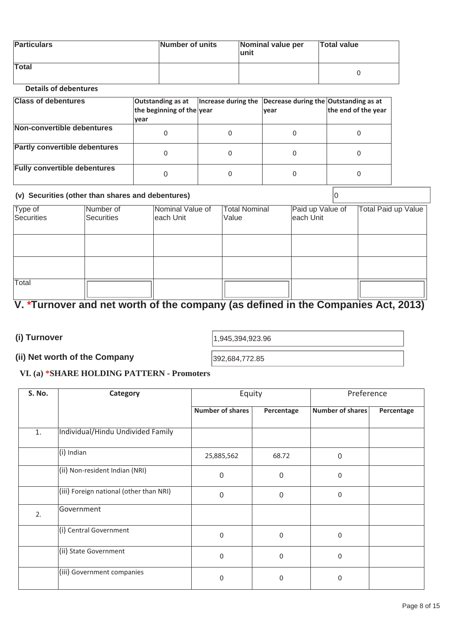| <b>Particulars</b> | Number of units | Nominal value per<br>∣unit | <b>Total value</b> |
|--------------------|-----------------|----------------------------|--------------------|
| Total              |                 |                            |                    |

## **Details of debentures**

| <b>Class of debentures</b>           | Outstanding as at<br>the beginning of the year<br><u> vear</u> | Increase during the Decrease during the Outstanding as at<br><u> vear</u> | the end of the year |
|--------------------------------------|----------------------------------------------------------------|---------------------------------------------------------------------------|---------------------|
| Non-convertible debentures           |                                                                |                                                                           |                     |
| <b>Partly convertible debentures</b> |                                                                |                                                                           |                     |
| <b>Fully convertible debentures</b>  |                                                                |                                                                           |                     |

#### **(v) Securities (other than shares and debentures)** 0

| Type of<br>Securities | Number of<br>Securities | Nominal Value of<br>each Unit | <b>Total Nominal</b><br>Value | Paid up Value of<br>each Unit | Total Paid up Value |
|-----------------------|-------------------------|-------------------------------|-------------------------------|-------------------------------|---------------------|
|                       |                         |                               |                               |                               |                     |
|                       |                         |                               |                               |                               |                     |
|                       |                         |                               |                               |                               |                     |
| Total                 |                         |                               |                               |                               |                     |

# **V. \*Turnover and net worth of the company (as defined in the Companies Act, 2013)**

**(i) Turnover** 

1,945,394,923.96

# (ii) Net worth of the Company<br> **EXECUTE: NOTE TO A DIMENSION CONTINUES**

## **VI. (a) \*SHARE HOLDING PATTERN - Promoters**

| S. No. | Category                                | Equity                  |                  | Preference              |            |
|--------|-----------------------------------------|-------------------------|------------------|-------------------------|------------|
|        |                                         | <b>Number of shares</b> | Percentage       | <b>Number of shares</b> | Percentage |
| 1.     | Individual/Hindu Undivided Family       |                         |                  |                         |            |
|        | (i) Indian                              | 25,885,562              | 68.72            | 0                       |            |
|        | (ii) Non-resident Indian (NRI)          | $\Omega$                | 0                | 0                       |            |
|        | (iii) Foreign national (other than NRI) | $\mathbf 0$             | $\boldsymbol{0}$ | 0                       |            |
| 2.     | Government                              |                         |                  |                         |            |
|        | (i) Central Government                  | $\mathbf 0$             | $\mathbf 0$      | 0                       |            |
|        | (ii) State Government                   | $\mathbf 0$             | $\mathbf 0$      | 0                       |            |
|        | (iii) Government companies              | $\mathbf 0$             | $\mathbf 0$      | 0                       |            |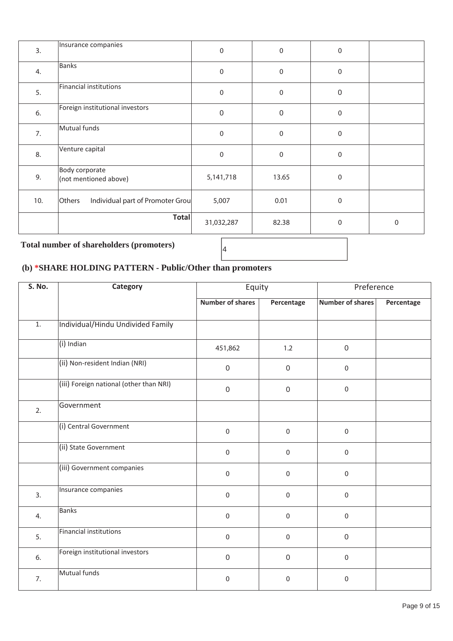| 3.  | Insurance companies                        | $\boldsymbol{0}$ | $\pmb{0}$        | 0                |             |
|-----|--------------------------------------------|------------------|------------------|------------------|-------------|
| 4.  | <b>Banks</b>                               | $\boldsymbol{0}$ | $\pmb{0}$        | 0                |             |
| 5.  | <b>Financial institutions</b>              | $\boldsymbol{0}$ | $\pmb{0}$        | $\boldsymbol{0}$ |             |
| 6.  | Foreign institutional investors            | $\boldsymbol{0}$ | $\boldsymbol{0}$ | 0                |             |
| 7.  | Mutual funds                               | $\mathbf 0$      | $\pmb{0}$        | 0                |             |
| 8.  | Venture capital                            | $\boldsymbol{0}$ | $\pmb{0}$        | 0                |             |
| 9.  | Body corporate<br>(not mentioned above)    | 5, 141, 718      | 13.65            | 0                |             |
| 10. | Individual part of Promoter Grou<br>Others | 5,007            | 0.01             | 0                |             |
|     | <b>Total</b>                               | 31,032,287       | 82.38            | 0                | $\mathbf 0$ |

# **Total number of shareholders (promoters)** <sup>4</sup>

# **(b) \*SHARE HOLDING PATTERN - Public/Other than promoters**

| S. No. | Category                                | Equity                  |                  | Preference              |            |
|--------|-----------------------------------------|-------------------------|------------------|-------------------------|------------|
|        |                                         | <b>Number of shares</b> | Percentage       | <b>Number of shares</b> | Percentage |
| 1.     | Individual/Hindu Undivided Family       |                         |                  |                         |            |
|        | (i) Indian                              | 451,862                 | 1.2              | $\mathbf 0$             |            |
|        | (ii) Non-resident Indian (NRI)          | $\mathsf{O}\xspace$     | $\boldsymbol{0}$ | $\mathsf{O}\xspace$     |            |
|        | (iii) Foreign national (other than NRI) | $\mathbf 0$             | $\boldsymbol{0}$ | $\mathbf 0$             |            |
| 2.     | Government                              |                         |                  |                         |            |
|        | (i) Central Government                  | $\mathbf 0$             | $\pmb{0}$        | $\boldsymbol{0}$        |            |
|        | (ii) State Government                   | $\mathbf 0$             | $\mathbf 0$      | $\mathsf{O}\xspace$     |            |
|        | (iii) Government companies              | $\mathbf{0}$            | $\pmb{0}$        | $\mathbf 0$             |            |
| 3.     | Insurance companies                     | $\mathbf 0$             | $\mathbf 0$      | $\mathsf{O}\xspace$     |            |
| 4.     | Banks                                   | $\mathbf 0$             | 0                | $\mathsf{O}\xspace$     |            |
| 5.     | <b>Financial institutions</b>           | $\mathbf 0$             | $\pmb{0}$        | $\mathsf{O}\xspace$     |            |
| 6.     | Foreign institutional investors         | $\mathbf 0$             | 0                | $\mathbf 0$             |            |
| 7.     | Mutual funds                            | $\mathbf 0$             | $\mathbf 0$      | $\mathbf 0$             |            |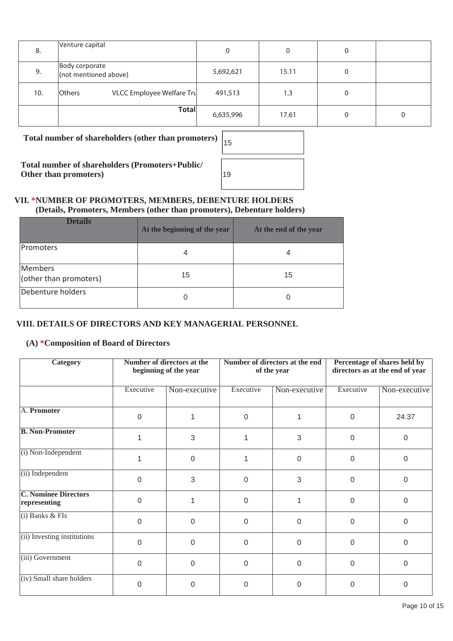| 8.  | Venture capital                            | 0         |       | 0 |  |
|-----|--------------------------------------------|-----------|-------|---|--|
| 9.  | Body corporate<br>(not mentioned above)    | 5,692,621 | 15.11 | 0 |  |
| 10. | VLCC Employee Welfare Tru<br><b>Others</b> | 491,513   | 1.3   | 0 |  |
|     | <b>Total</b>                               | 6,635,996 | 17.61 | 0 |  |

**Total number of shareholders (other than promoters)** <sup>15</sup>

**Total number of shareholders (Promoters+Public/ Other than promoters)** 

| 15 |  |  |  |
|----|--|--|--|
| 19 |  |  |  |

#### **VII. \*NUMBER OF PROMOTERS, MEMBERS, DEBENTURE HOLDERS (Details, Promoters, Members (other than promoters), Debenture holders)**

| <b>Details</b>                    | At the beginning of the year | At the end of the year |
|-----------------------------------|------------------------------|------------------------|
| <b>IPromoters</b>                 | 4                            |                        |
| Members<br>(other than promoters) | 15                           | 15                     |
| Debenture holders                 | 0                            |                        |

# **VIII. DETAILS OF DIRECTORS AND KEY MANAGERIAL PERSONNEL**

#### **(A) \*Composition of Board of Directors**

| <b>Category</b>                             |           | Number of directors at the<br>beginning of the year |           | Number of directors at the end<br>of the year | Percentage of shares held by<br>directors as at the end of year |               |  |
|---------------------------------------------|-----------|-----------------------------------------------------|-----------|-----------------------------------------------|-----------------------------------------------------------------|---------------|--|
|                                             | Executive | Non-executive                                       | Executive | Non-executive                                 | Executive                                                       | Non-executive |  |
| A. Promoter                                 | $\Omega$  |                                                     | $\Omega$  | 1                                             | $\Omega$                                                        | 24.37         |  |
| <b>B. Non-Promoter</b>                      |           | 3                                                   |           | 3                                             | 0                                                               | $\mathbf 0$   |  |
| (i) Non-Independent                         |           | $\mathbf 0$                                         |           | $\mathbf 0$                                   | 0                                                               | $\Omega$      |  |
| (ii) Independent                            | $\Omega$  | 3                                                   | $\Omega$  | 3                                             | 0                                                               | 0             |  |
| <b>C. Nominee Directors</b><br>representing | $\Omega$  |                                                     | $\Omega$  | 1                                             | 0                                                               | $\Omega$      |  |
| $(i)$ Banks & FIs                           | $\Omega$  | $\mathbf 0$                                         | $\Omega$  | $\mathbf 0$                                   | 0                                                               | $\mathbf 0$   |  |
| (ii) Investing institutions                 | 0         | $\Omega$                                            | $\Omega$  | $\Omega$                                      | $\Omega$                                                        | $\Omega$      |  |
| (iii) Government                            | $\Omega$  | $\mathbf 0$                                         | $\Omega$  | $\Omega$                                      | $\Omega$                                                        | $\Omega$      |  |
| (iv) Small share holders                    | 0         | 0                                                   | 0         | 0                                             | 0                                                               | 0             |  |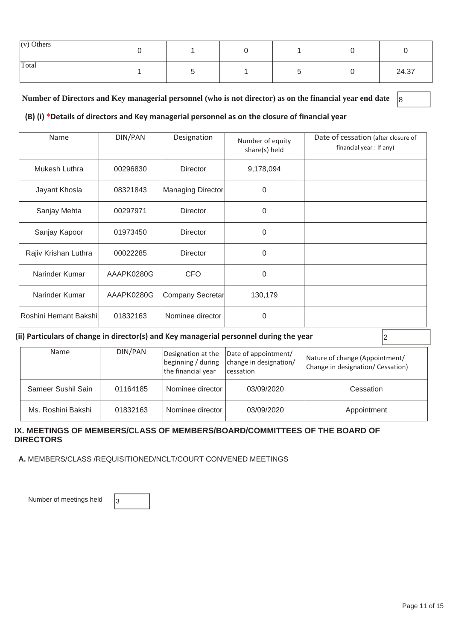| $(v)$ Others |  |  |       |
|--------------|--|--|-------|
| Total        |  |  | 24.37 |

#### Number of Directors and Key managerial personnel (who is not director) as on the financial year end date <sup>8</sup>

#### **(B) (i) \*Details of directors and Key managerial personnel as on the closure of financial year**

| Name                  | DIN/PAN                        | Designation       | Number of equity<br>share(s) held | Date of cessation (after closure of<br>financial year: If any) |
|-----------------------|--------------------------------|-------------------|-----------------------------------|----------------------------------------------------------------|
| Mukesh Luthra         | 00296830                       | <b>Director</b>   | 9,178,094                         |                                                                |
| Jayant Khosla         | 08321843                       | Managing Director | $\Omega$                          |                                                                |
| Sanjay Mehta          | 00297971                       | <b>Director</b>   | $\Omega$                          |                                                                |
| Sanjay Kapoor         | 01973450                       | <b>Director</b>   | $\Omega$                          |                                                                |
| Rajiv Krishan Luthra  | 00022285                       | <b>Director</b>   | $\Omega$                          |                                                                |
| Narinder Kumar        | AAAPK0280G                     | <b>CFO</b>        | $\Omega$                          |                                                                |
| Narinder Kumar        | AAAPK0280G<br>Company Secretar |                   | 130,179                           |                                                                |
| Roshini Hemant Bakshi | 01832163                       | Nominee director  | $\Omega$                          |                                                                |

#### (ii) Particulars of change in director(s) and Key managerial personnel during the year  $|2|$

| <b>Name</b>        | DIN/PAN  | Date of appointment/<br>Designation at the<br>beginning / during $ $ change in designation/<br>the financial year<br><i>cessation</i> |            | Nature of change (Appointment/<br>Change in designation/ Cessation) |
|--------------------|----------|---------------------------------------------------------------------------------------------------------------------------------------|------------|---------------------------------------------------------------------|
| Sameer Sushil Sain | 01164185 | Nominee director                                                                                                                      | 03/09/2020 | Cessation                                                           |
| Ms. Roshini Bakshi | 01832163 | Nominee director                                                                                                                      | 03/09/2020 | Appointment                                                         |

#### **IX. MEETINGS OF MEMBERS/CLASS OF MEMBERS/BOARD/COMMITTEES OF THE BOARD OF DIRECTORS**

 **A.** MEMBERS/CLASS /REQUISITIONED/NCLT/COURT CONVENED MEETINGS

Number of meetings held  $\vert$ 3

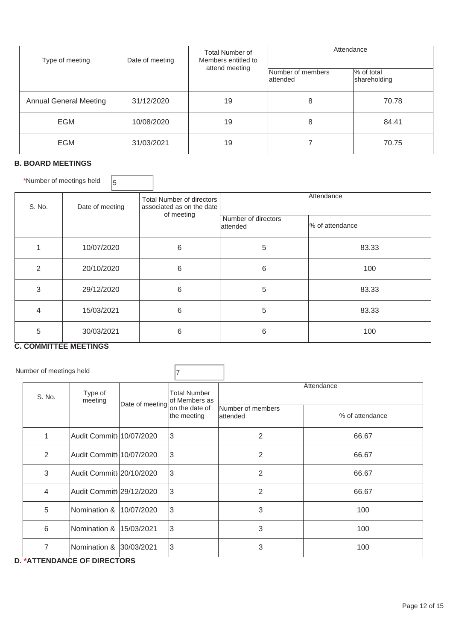| Type of meeting               | Date of meeting | <b>Total Number of</b><br>Members entitled to    | Attendance |                            |  |
|-------------------------------|-----------------|--------------------------------------------------|------------|----------------------------|--|
|                               |                 | attend meeting<br>Number of members<br>lattended |            | % of total<br>shareholding |  |
| <b>Annual General Meeting</b> | 31/12/2020      | 19                                               | 8          | 70.78                      |  |
| <b>EGM</b>                    | 10/08/2020      | 19                                               | 8          | 84.41                      |  |
| <b>EGM</b>                    | 31/03/2021      | 19                                               |            | 70.75                      |  |

### **B. BOARD MEETINGS**

\*Number of meetings held  $\boxed{5}$ 

| S. No. | Date of meeting | <b>Total Number of directors</b><br>associated as on the date<br>of meeting | Attendance |                 |  |  |
|--------|-----------------|-----------------------------------------------------------------------------|------------|-----------------|--|--|
|        |                 | Number of directors<br>lattended                                            |            | % of attendance |  |  |
|        | 10/07/2020      | 6                                                                           | 5          | 83.33           |  |  |
| 2      | 20/10/2020      | 6                                                                           | 6          | 100             |  |  |
| 3      | 29/12/2020      | 6                                                                           | 5          | 83.33           |  |  |
| 4      | 15/03/2021      | 6                                                                           | 5          | 83.33           |  |  |
| 5      | 30/03/2021      | 6                                                                           | 6          | 100             |  |  |

 $\overline{\phantom{a}}$ 

# **C. COMMITTEE MEETINGS**

| Number of meetings held |                    |  |                                                                                                                                                                                                                       |                                                                                     |                                |
|-------------------------|--------------------|--|-----------------------------------------------------------------------------------------------------------------------------------------------------------------------------------------------------------------------|-------------------------------------------------------------------------------------|--------------------------------|
| S. No.                  | Type of<br>meeting |  | <b>Total Number</b>                                                                                                                                                                                                   |                                                                                     | Attendance<br>% of attendance  |
| 1                       |                    |  |                                                                                                                                                                                                                       | 2                                                                                   | 66.67                          |
| 2                       |                    |  |                                                                                                                                                                                                                       | $\overline{2}$                                                                      | 66.67                          |
| 3                       |                    |  |                                                                                                                                                                                                                       | 2                                                                                   | 66.67                          |
| 4                       |                    |  |                                                                                                                                                                                                                       | $\overline{2}$                                                                      | 66.67                          |
| 5                       |                    |  |                                                                                                                                                                                                                       | 3                                                                                   | 100                            |
| 6                       |                    |  |                                                                                                                                                                                                                       | 3                                                                                   | 100                            |
| 7                       |                    |  |                                                                                                                                                                                                                       | 3                                                                                   | 100                            |
|                         |                    |  | Date of meeting<br>Audit Committe 10/07/2020<br>Audit Committe 10/07/2020<br>Audit Committ 20/10/2020<br>Audit Committi 29/12/2020<br>Nomination & 10/07/2020<br>INomination & II5/03/2021<br>Nomination & 30/03/2021 | of Members as<br>on the date of<br>the meeting<br>3<br>3<br>l3<br>3<br>3<br>3<br>IЗ | Number of members<br>lattended |

#### **D. \*ATTENDANCE OF DIRECTORS**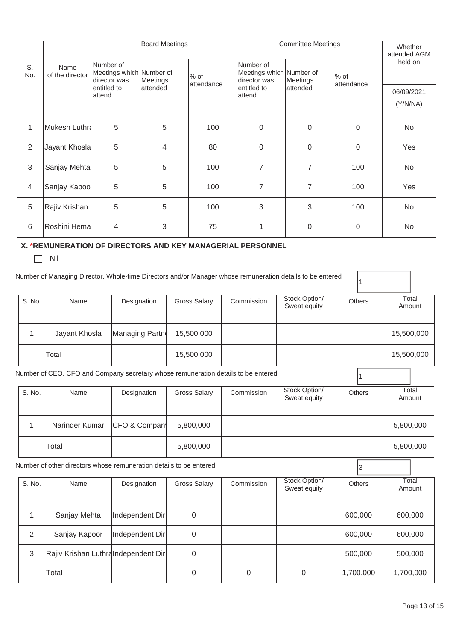|              |                                                                                                           |                                                       | <b>Board Meetings</b> |                        | <b>Committee Meetings</b>                             |                        | Whether<br>attended AGM       |                      |                 |
|--------------|-----------------------------------------------------------------------------------------------------------|-------------------------------------------------------|-----------------------|------------------------|-------------------------------------------------------|------------------------|-------------------------------|----------------------|-----------------|
| S.<br>No.    | Name<br>of the director                                                                                   | Number of<br>Meetings which Number of<br>director was | Meetings              | $\%$ of<br>lattendance | Number of<br>Meetings which Number of<br>director was |                        | Meetings                      | $%$ of<br>attendance | held on         |
|              |                                                                                                           | entitled to<br>attend                                 | attended              |                        |                                                       | entitled to<br>lattend | attended                      |                      | 06/09/2021      |
|              |                                                                                                           |                                                       |                       |                        |                                                       |                        |                               |                      | (Y/N/NA)        |
| 1            | Mukesh Luthra                                                                                             | 5                                                     | 5                     | 100                    |                                                       | $\Omega$               | 0                             | $\mathbf 0$          | <b>No</b>       |
| 2            | Jayant Khosla                                                                                             | 5                                                     | 4                     | 80                     |                                                       | $\mathbf 0$            | 0                             | 0                    | Yes             |
| 3            | Sanjay Mehta                                                                                              | 5                                                     | 5                     | 100                    |                                                       | $\overline{7}$         | $\overline{7}$                | 100                  | <b>No</b>       |
| 4            | Sanjay Kapoo                                                                                              | 5                                                     | 5                     | 100                    |                                                       | $\overline{7}$         | $\overline{7}$                | 100                  | Yes             |
| 5            | Rajiv Krishan I                                                                                           | 5                                                     | 5                     | 100                    |                                                       | 3                      | 3                             | 100                  | <b>No</b>       |
| 6            | Roshini Hema                                                                                              | $\overline{4}$                                        | 3                     | 75                     |                                                       | $\mathbf{1}$           | 0                             | $\mathbf 0$          | <b>No</b>       |
|              | X. *REMUNERATION OF DIRECTORS AND KEY MANAGERIAL PERSONNEL<br>Nil                                         |                                                       |                       |                        |                                                       |                        |                               |                      |                 |
|              | Number of Managing Director, Whole-time Directors and/or Manager whose remuneration details to be entered |                                                       |                       |                        |                                                       |                        |                               | 1                    |                 |
| S. No.       | Name                                                                                                      | Designation                                           |                       | <b>Gross Salary</b>    |                                                       | Commission             | Stock Option/<br>Sweat equity | <b>Others</b>        | Total<br>Amount |
| $\mathbf{1}$ | Jayant Khosla                                                                                             | Managing Partn                                        |                       | 15,500,000             |                                                       |                        |                               |                      | 15,500,000      |
|              | Total                                                                                                     |                                                       |                       | 15,500,000             |                                                       |                        |                               |                      | 15,500,000      |
|              | Number of CEO, CFO and Company secretary whose remuneration details to be entered                         |                                                       |                       |                        |                                                       |                        |                               | 1                    |                 |

| S. No.                                                             | Name           | Designation  | Gross Salary | Commission | Stock Option/<br>Sweat equity | <b>Others</b> | Total<br>Amount |
|--------------------------------------------------------------------|----------------|--------------|--------------|------------|-------------------------------|---------------|-----------------|
|                                                                    | Narinder Kumar | CFO & Compan | 5,800,000    |            |                               |               | 5,800,000       |
|                                                                    | Total          |              | 5,800,000    |            |                               |               | 5,800,000       |
| Number of other directors whose remuneration details to be entered |                |              |              |            |                               |               |                 |

| Number of other directors whose remuneration details to be entered |                                     |                 |                     |            |                               |               |                 |
|--------------------------------------------------------------------|-------------------------------------|-----------------|---------------------|------------|-------------------------------|---------------|-----------------|
| S. No.                                                             | Name                                | Designation     | <b>Gross Salary</b> | Commission | Stock Option/<br>Sweat equity | <b>Others</b> | Total<br>Amount |
|                                                                    | Sanjay Mehta                        | Independent Dir | 0                   |            |                               | 600,000       | 600,000         |
| $\mathfrak{D}$                                                     | Sanjay Kapoor                       | Independent Dir | 0                   |            |                               | 600,000       | 600,000         |
| 3                                                                  | Rajiv Krishan LuthraIndependent Dir |                 | 0                   |            |                               | 500,000       | 500,000         |
|                                                                    | Total                               |                 | 0                   | 0          | $\mathbf{0}$                  | 1,700,000     | 1,700,000       |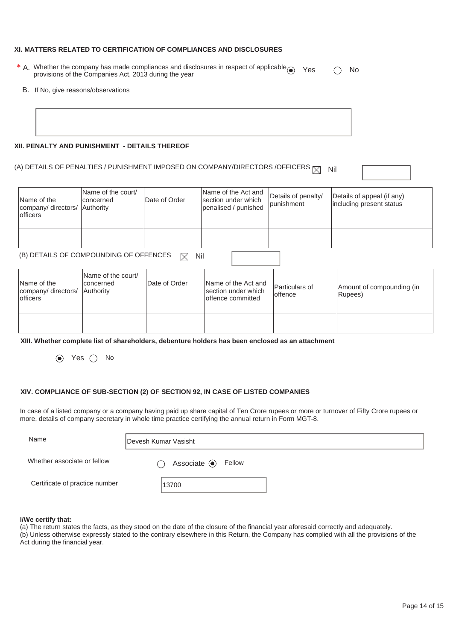#### **XI. MATTERS RELATED TO CERTIFICATION OF COMPLIANCES AND DISCLOSURES**

- \* A. Whether the company has made compliances and disclosures in respect of applicable  $\odot$  Yes  $\odot$  No<br>provisions of the Companies Act, 2013 during the year
	- B. If No, give reasons/observations

#### **XII. PENALTY AND PUNISHMENT - DETAILS THEREOF**

# (A) DETAILS OF PENALTIES / PUNISHMENT IMPOSED ON COMPANY/DIRECTORS /OFFICERS  $\boxtimes$  Nil

| Name of the<br>company/directors/<br>lofficers     | Name of the court/<br>concerned<br>Authority | Date of Order | Name of the Act and<br>section under which<br>penalised / punished | Details of penalty/<br>punishment | Details of appeal (if any)<br>including present status |  |  |  |
|----------------------------------------------------|----------------------------------------------|---------------|--------------------------------------------------------------------|-----------------------------------|--------------------------------------------------------|--|--|--|
|                                                    |                                              |               |                                                                    |                                   |                                                        |  |  |  |
|                                                    |                                              |               |                                                                    |                                   |                                                        |  |  |  |
|                                                    |                                              |               |                                                                    |                                   |                                                        |  |  |  |
| (B) DETAILS OF COMPOUNDING OF OFFENCES<br>Nil<br>M |                                              |               |                                                                    |                                   |                                                        |  |  |  |
|                                                    |                                              |               |                                                                    |                                   |                                                        |  |  |  |

| Name of the<br>company/ directors/ Authority<br>lofficers | Name of the court/<br>Iconcerned | Date of Order | Name of the Act and<br>section under which<br>loffence committed | Particulars of<br>loffence | Amount of compounding (in<br>Rupees) |
|-----------------------------------------------------------|----------------------------------|---------------|------------------------------------------------------------------|----------------------------|--------------------------------------|
|                                                           |                                  |               |                                                                  |                            |                                      |

**XIII. Whether complete list of shareholders, debenture holders has been enclosed as an attachment** 

 $\odot$  Yes  $\odot$  No

#### **XIV. COMPLIANCE OF SUB-SECTION (2) OF SECTION 92, IN CASE OF LISTED COMPANIES**

In case of a listed company or a company having paid up share capital of Ten Crore rupees or more or turnover of Fifty Crore rupees or more, details of company secretary in whole time practice certifying the annual return in Form MGT-8.

| Name                           | Devesh Kumar Vasisht          |
|--------------------------------|-------------------------------|
| Whether associate or fellow    | Associate <sup>O</sup> Fellow |
| Certificate of practice number | 13700                         |

#### **I/We certify that:**

(a) The return states the facts, as they stood on the date of the closure of the financial year aforesaid correctly and adequately. (b) Unless otherwise expressly stated to the contrary elsewhere in this Return, the Company has complied with all the provisions of the Act during the financial year.